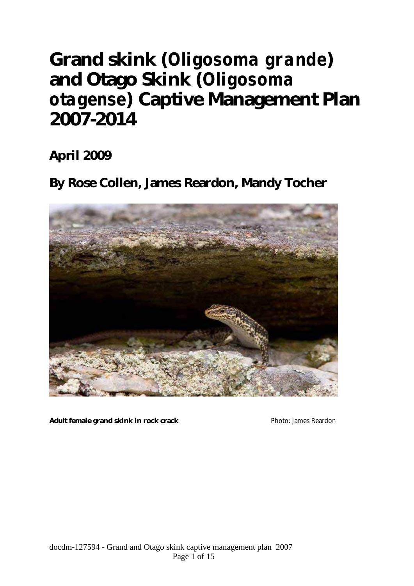# **Grand skink (***Oligosoma grande***) and Otago Skink (***Oligosoma otagense***) Captive Management Plan 2007-2014**

**April 2009** 

**By Rose Collen, James Reardon, Mandy Tocher** 



Adult female grand skink in rock crack **Photo: James Reardon** Photo: James Reardon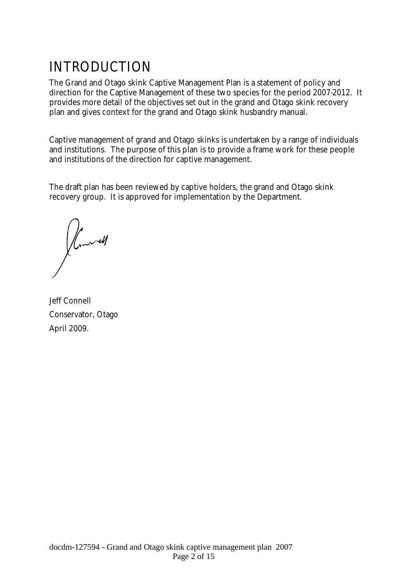## INTRODUCTION

The Grand and Otago skink Captive Management Plan is a statement of policy and direction for the Captive Management of these two species for the period 2007-2012. It provides more detail of the objectives set out in the grand and Otago skink recovery plan and gives context for the grand and Otago skink husbandry manual.

Captive management of grand and Otago skinks is undertaken by a range of individuals and institutions. The purpose of this plan is to provide a frame work for these people and institutions of the direction for captive management.

The draft plan has been reviewed by captive holders, the grand and Otago skink recovery group. It is approved for implementation by the Department.

 $\int_{\mathcal{L}}$ 

Jeff Connell Conservator, Otago April 2009.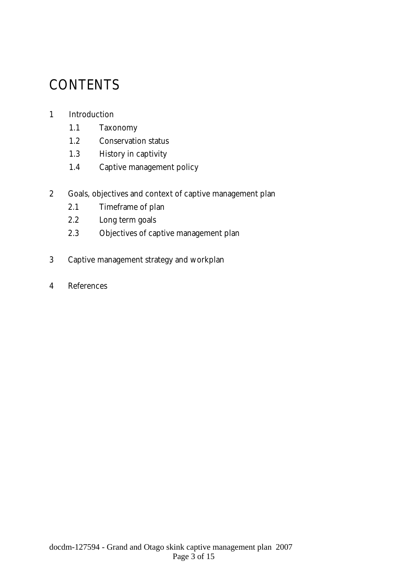## **CONTENTS**

#### 1 Introduction

- 1.1 Taxonomy
- 1.2 Conservation status
- 1.3 History in captivity
- 1.4 Captive management policy
- 2 Goals, objectives and context of captive management plan
	- 2.1 Timeframe of plan
	- 2.2 Long term goals
	- 2.3 Objectives of captive management plan
- 3 Captive management strategy and workplan
- 4 References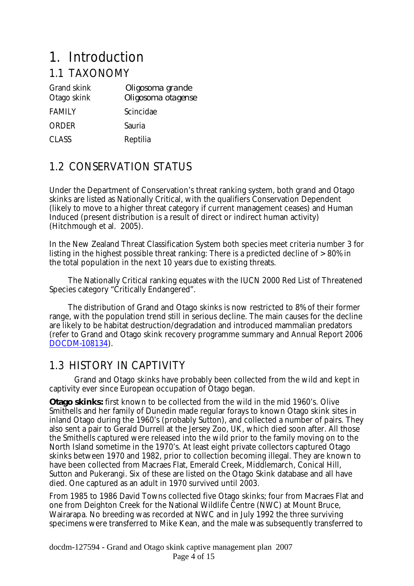## 1. Introduction

### 1.1 TAXONOMY

| <b>Grand skink</b><br>Otago skink | Oligosoma grande<br>Oligosoma otagense |
|-----------------------------------|----------------------------------------|
| <b>FAMILY</b>                     | Scincidae                              |
| <b>ORDER</b>                      | Sauria                                 |
| <b>CLASS</b>                      | Reptilia                               |

## 1.2 CONSERVATION STATUS

Under the Department of Conservation's threat ranking system, both grand and Otago skinks are listed as Nationally Critical, with the qualifiers Conservation Dependent (likely to move to a higher threat category if current management ceases) and Human Induced (present distribution is a result of direct or indirect human activity) (Hitchmough et al. 2005).

In the New Zealand Threat Classification System both species meet criteria number 3 for listing in the highest possible threat ranking: There is a predicted decline of > 80% in the total population in the next 10 years due to existing threats.

 The Nationally Critical ranking equates with the IUCN 2000 Red List of Threatened Species category "Critically Endangered".

 The distribution of Grand and Otago skinks is now restricted to 8% of their former range, with the population trend still in serious decline. The main causes for the decline are likely to be habitat destruction/degradation and introduced mammalian predators (refer to Grand and Otago skink recovery programme summary and Annual Report 2006 DOCDM-108134).

### 1.3 HISTORY IN CAPTIVITY

Grand and Otago skinks have probably been collected from the wild and kept in captivity ever since European occupation of Otago began.

**Otago skinks:** first known to be collected from the wild in the mid 1960's. Olive Smithells and her family of Dunedin made regular forays to known Otago skink sites in inland Otago during the 1960's (probably Sutton), and collected a number of pairs. They also sent a pair to Gerald Durrell at the Jersey Zoo, UK, which died soon after. All those the Smithells captured were released into the wild prior to the family moving on to the North Island sometime in the 1970's. At least eight private collectors captured Otago skinks between 1970 and 1982, prior to collection becoming illegal. They are known to have been collected from Macraes Flat, Emerald Creek, Middlemarch, Conical Hill, Sutton and Pukerangi. Six of these are listed on the Otago Skink database and all have died. One captured as an adult in 1970 survived until 2003.

From 1985 to 1986 David Towns collected five Otago skinks; four from Macraes Flat and one from Deighton Creek for the National Wildlife Centre (NWC) at Mount Bruce, Wairarapa. No breeding was recorded at NWC and in July 1992 the three surviving specimens were transferred to Mike Kean, and the male was subsequently transferred to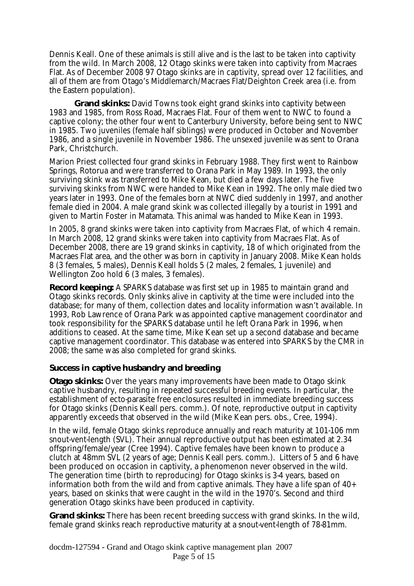Dennis Keall. One of these animals is still alive and is the last to be taken into captivity from the wild. In March 2008, 12 Otago skinks were taken into captivity from Macraes Flat. As of December 2008 97 Otago skinks are in captivity, spread over 12 facilities, and all of them are from Otago's Middlemarch/Macraes Flat/Deighton Creek area (i.e. from the Eastern population).

 **Grand skinks:** David Towns took eight grand skinks into captivity between 1983 and 1985, from Ross Road, Macraes Flat. Four of them went to NWC to found a captive colony; the other four went to Canterbury University, before being sent to NWC in 1985. Two juveniles (female half siblings) were produced in October and November 1986, and a single juvenile in November 1986. The unsexed juvenile was sent to Orana Park, Christchurch.

Marion Priest collected four grand skinks in February 1988. They first went to Rainbow Springs, Rotorua and were transferred to Orana Park in May 1989. In 1993, the only surviving skink was transferred to Mike Kean, but died a few days later. The five surviving skinks from NWC were handed to Mike Kean in 1992. The only male died two years later in 1993. One of the females born at NWC died suddenly in 1997, and another female died in 2004. A male grand skink was collected illegally by a tourist in 1991 and given to Martin Foster in Matamata. This animal was handed to Mike Kean in 1993.

In 2005, 8 grand skinks were taken into captivity from Macraes Flat, of which 4 remain. In March 2008, 12 grand skinks were taken into captivity from Macraes Flat. As of December 2008, there are 19 grand skinks in captivity, 18 of which originated from the Macraes Flat area, and the other was born in captivity in January 2008. Mike Kean holds 8 (3 females, 5 males), Dennis Keall holds 5 (2 males, 2 females, 1 juvenile) and Wellington Zoo hold 6 (3 males, 3 females).

**Record keeping:** A SPARKS database was first set up in 1985 to maintain grand and Otago skinks records. Only skinks alive in captivity at the time were included into the database; for many of them, collection dates and locality information wasn't available. In 1993, Rob Lawrence of Orana Park was appointed captive management coordinator and took responsibility for the SPARKS database until he left Orana Park in 1996, when additions to ceased. At the same time, Mike Kean set up a second database and became captive management coordinator. This database was entered into SPARKS by the CMR in 2008; the same was also completed for grand skinks.

#### **Success in captive husbandry and breeding**

**Otago skinks:** Over the years many improvements have been made to Otago skink captive husbandry, resulting in repeated successful breeding events. In particular, the establishment of ecto-parasite free enclosures resulted in immediate breeding success for Otago skinks (Dennis Keall pers. comm.). Of note, reproductive output in captivity apparently exceeds that observed in the wild (Mike Kean pers. obs., Cree, 1994).

In the wild, female Otago skinks reproduce annually and reach maturity at 101-106 mm snout-vent-length (SVL). Their annual reproductive output has been estimated at 2.34 offspring/female/year (Cree 1994). Captive females have been known to produce a clutch at 48mm SVL (2 years of age; Dennis Keall pers. comm.). Litters of 5 and 6 have been produced on occasion in captivity, a phenomenon never observed in the wild. The generation time (birth to reproducing) for Otago skinks is 3-4 years, based on information both from the wild and from captive animals. They have a life span of 40+ years, based on skinks that were caught in the wild in the 1970's. Second and third generation Otago skinks have been produced in captivity.

**Grand skinks:** There has been recent breeding success with grand skinks. In the wild, female grand skinks reach reproductive maturity at a snout-vent-length of 78-81mm.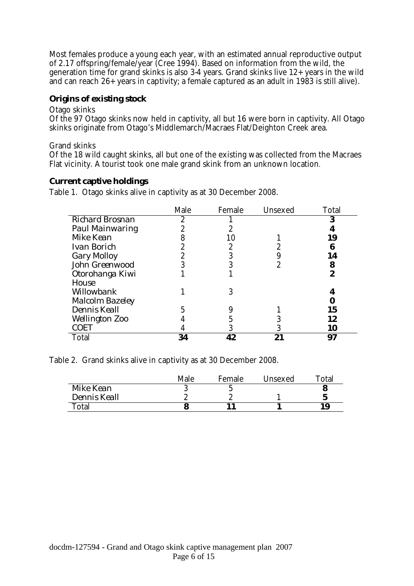Most females produce a young each year, with an estimated annual reproductive output of 2.17 offspring/female/year (Cree 1994). Based on information from the wild, the generation time for grand skinks is also 3-4 years. Grand skinks live 12+ years in the wild and can reach 26+ years in captivity; a female captured as an adult in 1983 is still alive).

#### **Origins of existing stock**

Otago skinks

Of the 97 Otago skinks now held in captivity, all but 16 were born in captivity. All Otago skinks originate from Otago's Middlemarch/Macraes Flat/Deighton Creek area.

#### Grand skinks

Of the 18 wild caught skinks, all but one of the existing was collected from the Macraes Flat vicinity. A tourist took one male grand skink from an unknown location.

#### **Current captive holdings**

Table 1. Otago skinks alive in captivity as at 30 December 2008.

|                        | Male | Female | Unsexed | Total |
|------------------------|------|--------|---------|-------|
| <b>Richard Brosnan</b> |      |        |         |       |
| Paul Mainwaring        |      |        |         |       |
| Mike Kean              |      | 10     |         | 19    |
| Ivan Borich            |      |        |         |       |
| Gary Molloy            |      |        |         | 14    |
| John Greenwood         |      |        |         | 8     |
| Otorohanga Kiwi        |      |        |         |       |
| House                  |      |        |         |       |
| Willowbank             |      |        |         |       |
| <b>Malcolm Bazeley</b> |      |        |         |       |
| Dennis Keall           |      |        |         | 15    |
| <b>Wellington Zoo</b>  |      |        |         | 12    |
| <b>COET</b>            |      |        |         | 10    |
| Total                  | 34   | 42     | 21      | 97    |

Table 2. Grand skinks alive in captivity as at 30 December 2008.

|              | Male | Female | Unsexed | Total |
|--------------|------|--------|---------|-------|
| Mike Kean    |      |        |         |       |
| Dennis Keall |      |        |         |       |
| Total        |      |        |         | 1 Q   |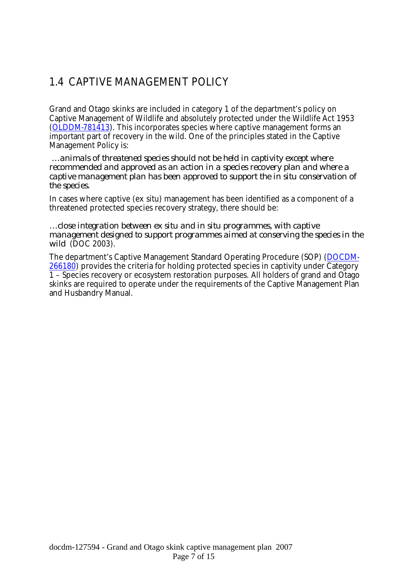### 1.4 CAPTIVE MANAGEMENT POLICY

Grand and Otago skinks are included in category 1 of the department's policy on Captive Management of Wildlife and absolutely protected under the Wildlife Act 1953 (OLDDM-781413). This incorporates species where captive management forms an important part of recovery in the wild. One of the principles stated in the Captive Management Policy is:

 *…animals of threatened species should not be held in captivity except where recommended and approved as an action in a species recovery plan and where a captive management plan has been approved to support the in situ conservation of the species.*

In cases where captive (ex situ) management has been identified as a component of a threatened protected species recovery strategy, there should be:

*…close integration between ex situ and in situ programmes, with captive management designed to support programmes aimed at conserving the species in the wild* (DOC 2003).

The department's Captive Management Standard Operating Procedure (SOP) (DOCDM-266180) provides the criteria for holding protected species in captivity under Category 1 – Species recovery or ecosystem restoration purposes. All holders of grand and Otago skinks are required to operate under the requirements of the Captive Management Plan and Husbandry Manual.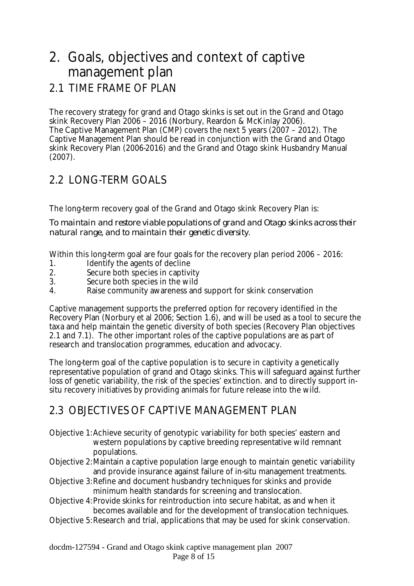## 2. Goals, objectives and context of captive management plan

### 2.1 TIME FRAME OF PLAN

The recovery strategy for grand and Otago skinks is set out in the Grand and Otago skink Recovery Plan 2006 – 2016 (Norbury, Reardon & McKinlay 2006). The Captive Management Plan (CMP) covers the next 5 years (2007 – 2012). The Captive Management Plan should be read in conjunction with the Grand and Otago skink Recovery Plan (2006-2016) and the Grand and Otago skink Husbandry Manual (2007).

## 2.2 LONG-TERM GOALS

The long-term recovery goal of the Grand and Otago skink Recovery Plan is:

*To maintain and restore viable populations of grand and Otago skinks across their natural range, and to maintain their genetic diversity*.

Within this long-term goal are four goals for the recovery plan period 2006 – 2016:

- 1. Identify the agents of decline<br>2. Secure both species in captivi
- Secure both species in captivity
- 3. Secure both species in the wild
- 4. Raise community awareness and support for skink conservation

Captive management supports the preferred option for recovery identified in the Recovery Plan (Norbury et al 2006; Section 1.6), and will be used as a tool to secure the taxa and help maintain the genetic diversity of both species (Recovery Plan objectives 2.1 and 7.1). The other important roles of the captive populations are as part of research and translocation programmes, education and advocacy.

The long-term goal of the captive population is to secure in captivity a genetically representative population of grand and Otago skinks. This will safeguard against further loss of genetic variability, the risk of the species' extinction. and to directly support insitu recovery initiatives by providing animals for future release into the wild.

### 2.3 OBJECTIVES OF CAPTIVE MANAGEMENT PLAN

- Objective 1: Achieve security of genotypic variability for both species' eastern and western populations by captive breeding representative wild remnant populations.
- Objective 2: Maintain a captive population large enough to maintain genetic variability and provide insurance against failure of in-situ management treatments.
- Objective 3: Refine and document husbandry techniques for skinks and provide minimum health standards for screening and translocation.
- Objective 4: Provide skinks for reintroduction into secure habitat, as and when it becomes available and for the development of translocation techniques.
- Objective 5: Research and trial, applications that may be used for skink conservation.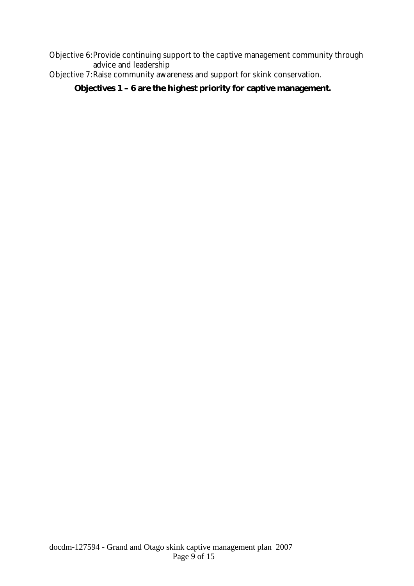Objective 6: Provide continuing support to the captive management community through advice and leadership

Objective 7: Raise community awareness and support for skink conservation.

**Objectives 1 – 6 are the highest priority for captive management.**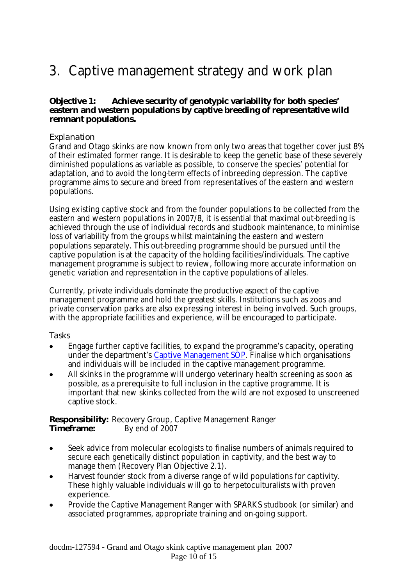## 3. Captive management strategy and work plan

#### **Objective 1: Achieve security of genotypic variability for both species' eastern and western populations by captive breeding of representative wild remnant populations.**

#### *Explanation*

Grand and Otago skinks are now known from only two areas that together cover just 8% of their estimated former range. It is desirable to keep the genetic base of these severely diminished populations as variable as possible, to conserve the species' potential for adaptation, and to avoid the long-term effects of inbreeding depression. The captive programme aims to secure and breed from representatives of the eastern and western populations.

Using existing captive stock and from the founder populations to be collected from the eastern and western populations in 2007/8, it is essential that maximal out-breeding is achieved through the use of individual records and studbook maintenance, to minimise loss of variability from the groups whilst maintaining the eastern and western populations separately. This out-breeding programme should be pursued until the captive population is at the capacity of the holding facilities/individuals. The captive management programme is subject to review, following more accurate information on genetic variation and representation in the captive populations of alleles.

Currently, private individuals dominate the productive aspect of the captive management programme and hold the greatest skills. Institutions such as zoos and private conservation parks are also expressing interest in being involved. Such groups, with the appropriate facilities and experience, will be encouraged to participate.

#### *Tasks*

- Engage further captive facilities, to expand the programme's capacity, operating under the department's Captive Management SOP. Finalise which organisations and individuals will be included in the captive management programme.
- All skinks in the programme will undergo veterinary health screening as soon as possible, as a prerequisite to full inclusion in the captive programme. It is important that new skinks collected from the wild are not exposed to unscreened captive stock.

**Responsibility:** Recovery Group, Captive Management Ranger **Timeframe:** By end of 2007

- Seek advice from molecular ecologists to finalise numbers of animals required to secure each genetically distinct population in captivity, and the best way to manage them (Recovery Plan Objective 2.1).
- Harvest founder stock from a diverse range of wild populations for captivity. These highly valuable individuals will go to herpetoculturalists with proven experience.
- Provide the Captive Management Ranger with SPARKS studbook (or similar) and associated programmes, appropriate training and on-going support.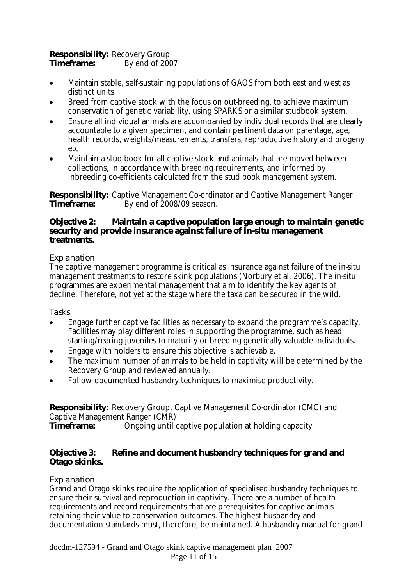#### **Responsibility:** Recovery Group **Timeframe:** By end of 2007

- Maintain stable, self-sustaining populations of GAOS from both east and west as distinct units.
- Breed from captive stock with the focus on out-breeding, to achieve maximum conservation of genetic variability, using SPARKS or a similar studbook system.
- Ensure all individual animals are accompanied by individual records that are clearly accountable to a given specimen, and contain pertinent data on parentage, age, health records, weights/measurements, transfers, reproductive history and progeny etc.
- Maintain a stud book for all captive stock and animals that are moved between collections, in accordance with breeding requirements, and informed by inbreeding co-efficients calculated from the stud book management system.

**Responsibility:** Captive Management Co-ordinator and Captive Management Ranger By end of 2008/09 season.

#### **Objective 2: Maintain a captive population large enough to maintain genetic security and provide insurance against failure of in-situ management treatments.**

#### *Explanation*

The captive management programme is critical as insurance against failure of the in-situ management treatments to restore skink populations (Norbury et al. 2006). The in-situ programmes are experimental management that aim to identify the key agents of decline. Therefore, not yet at the stage where the taxa can be secured in the wild.

#### *Tasks*

- Engage further captive facilities as necessary to expand the programme's capacity. Facilities may play different roles in supporting the programme, such as head starting/rearing juveniles to maturity or breeding genetically valuable individuals.
- Engage with holders to ensure this objective is achievable.
- The maximum number of animals to be held in captivity will be determined by the Recovery Group and reviewed annually.
- Follow documented husbandry techniques to maximise productivity.

**Responsibility:** Recovery Group, Captive Management Co-ordinator (CMC) and Captive Management Ranger (CMR)<br> **Timeframe:** Ongoing until **Timeframe:** Ongoing until captive population at holding capacity

#### **Objective 3: Refine and document husbandry techniques for grand and Otago skinks.**

#### *Explanation*

Grand and Otago skinks require the application of specialised husbandry techniques to ensure their survival and reproduction in captivity. There are a number of health requirements and record requirements that are prerequisites for captive animals retaining their value to conservation outcomes. The highest husbandry and documentation standards must, therefore, be maintained. A husbandry manual for grand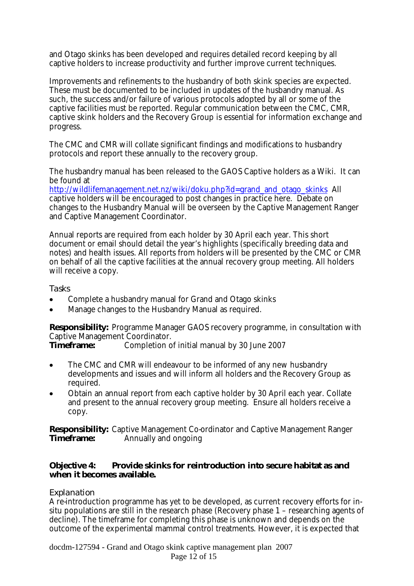and Otago skinks has been developed and requires detailed record keeping by all captive holders to increase productivity and further improve current techniques.

Improvements and refinements to the husbandry of both skink species are expected. These must be documented to be included in updates of the husbandry manual. As such, the success and/or failure of various protocols adopted by all or some of the captive facilities must be reported. Regular communication between the CMC, CMR, captive skink holders and the Recovery Group is essential for information exchange and progress.

The CMC and CMR will collate significant findings and modifications to husbandry protocols and report these annually to the recovery group.

The husbandry manual has been released to the GAOS Captive holders as a Wiki. It can be found at

http://wildlifemanagement.net.nz/wiki/doku.php?id=grand\_and\_otago\_skinks\_All\_ captive holders will be encouraged to post changes in practice here. Debate on changes to the Husbandry Manual will be overseen by the Captive Management Ranger and Captive Management Coordinator.

Annual reports are required from each holder by 30 April each year. This short document or email should detail the year's highlights (specifically breeding data and notes) and health issues. All reports from holders will be presented by the CMC or CMR on behalf of all the captive facilities at the annual recovery group meeting. All holders will receive a copy.

#### *Tasks*

- Complete a husbandry manual for Grand and Otago skinks
- Manage changes to the Husbandry Manual as required.

**Responsibility:** Programme Manager GAOS recovery programme, in consultation with Captive Management Coordinator.

**Timeframe:** Completion of initial manual by 30 June 2007

- The CMC and CMR will endeavour to be informed of any new husbandry developments and issues and will inform all holders and the Recovery Group as required.
- Obtain an annual report from each captive holder by 30 April each year. Collate and present to the annual recovery group meeting. Ensure all holders receive a copy.

**Responsibility:** Captive Management Co-ordinator and Captive Management Ranger **Timeframe:** Annually and ongoing

#### **Objective 4: Provide skinks for reintroduction into secure habitat as and when it becomes available.**

#### *Explanation*

A re-introduction programme has yet to be developed, as current recovery efforts for insitu populations are still in the research phase (Recovery phase 1 – researching agents of decline). The timeframe for completing this phase is unknown and depends on the outcome of the experimental mammal control treatments. However, it is expected that

docdm-127594 - Grand and Otago skink captive management plan 2007 Page 12 of 15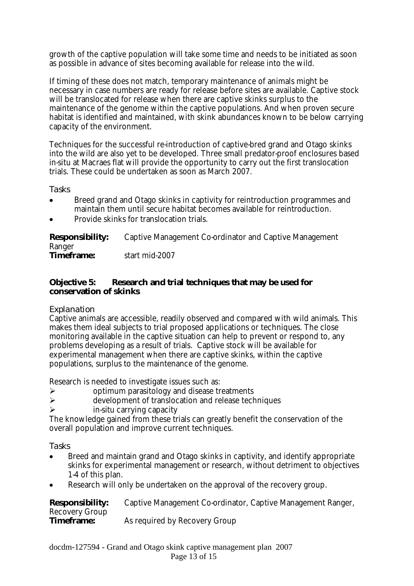growth of the captive population will take some time and needs to be initiated as soon as possible in advance of sites becoming available for release into the wild.

If timing of these does not match, temporary maintenance of animals might be necessary in case numbers are ready for release before sites are available. Captive stock will be translocated for release when there are captive skinks surplus to the maintenance of the genome within the captive populations. And when proven secure habitat is identified and maintained, with skink abundances known to be below carrying capacity of the environment.

Techniques for the successful re-introduction of captive-bred grand and Otago skinks into the wild are also yet to be developed. Three small predator-proof enclosures based in-situ at Macraes flat will provide the opportunity to carry out the first translocation trials. These could be undertaken as soon as March 2007.

*Tasks*

- Breed grand and Otago skinks in captivity for reintroduction programmes and maintain them until secure habitat becomes available for reintroduction.
- Provide skinks for translocation trials.

| Responsibility:<br>Ranger | Captive Management Co-ordinator and Captive Management |
|---------------------------|--------------------------------------------------------|
| Timeframe:                | start mid-2007                                         |

#### **Objective 5: Research and trial techniques that may be used for conservation of skinks**

#### *Explanation*

Captive animals are accessible, readily observed and compared with wild animals. This makes them ideal subjects to trial proposed applications or techniques. The close monitoring available in the captive situation can help to prevent or respond to, any problems developing as a result of trials. Captive stock will be available for experimental management when there are captive skinks, within the captive populations, surplus to the maintenance of the genome.

Research is needed to investigate issues such as:

- **►** optimum parasitology and disease treatments<br>► development of translocation and release tech
- development of translocation and release techniques
- $\triangleright$  in-situ carrying capacity

The knowledge gained from these trials can greatly benefit the conservation of the overall population and improve current techniques.

#### *Tasks*

- Breed and maintain grand and Otago skinks in captivity, and identify appropriate skinks for experimental management or research, without detriment to objectives 1-4 of this plan.
- Research will only be undertaken on the approval of the recovery group.

| <b>Responsibility:</b> | Captive Management Co-ordinator, Captive Management Ranger, |
|------------------------|-------------------------------------------------------------|
| Recovery Group         |                                                             |
| Timeframe:             | As required by Recovery Group                               |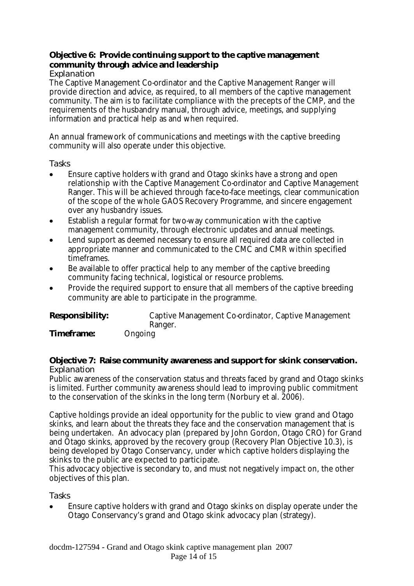#### **Objective 6: Provide continuing support to the captive management community through advice and leadership**

#### *Explanation*

The Captive Management Co-ordinator and the Captive Management Ranger will provide direction and advice, as required, to all members of the captive management community. The aim is to facilitate compliance with the precepts of the CMP, and the requirements of the husbandry manual, through advice, meetings, and supplying information and practical help as and when required.

An annual framework of communications and meetings with the captive breeding community will also operate under this objective.

#### *Tasks*

- Ensure captive holders with grand and Otago skinks have a strong and open relationship with the Captive Management Co-ordinator and Captive Management Ranger. This will be achieved through face-to-face meetings, clear communication of the scope of the whole GAOS Recovery Programme, and sincere engagement over any husbandry issues.
- Establish a regular format for two-way communication with the captive management community, through electronic updates and annual meetings.
- Lend support as deemed necessary to ensure all required data are collected in appropriate manner and communicated to the CMC and CMR within specified timeframes.
- Be available to offer practical help to any member of the captive breeding community facing technical, logistical or resource problems.
- Provide the required support to ensure that all members of the captive breeding community are able to participate in the programme.

| Responsibility: | Captive Management Co-ordinator, Captive Management |
|-----------------|-----------------------------------------------------|
|                 | Ranger.                                             |
| Timeframe:      | Ongoing                                             |

#### **Objective 7: Raise community awareness and support for skink conservation.** *Explanation*

Public awareness of the conservation status and threats faced by grand and Otago skinks is limited. Further community awareness should lead to improving public commitment to the conservation of the skinks in the long term (Norbury et al. 2006).

Captive holdings provide an ideal opportunity for the public to view grand and Otago skinks, and learn about the threats they face and the conservation management that is being undertaken. An advocacy plan (prepared by John Gordon, Otago CRO) for Grand and Otago skinks, approved by the recovery group (Recovery Plan Objective 10.3), is being developed by Otago Conservancy, under which captive holders displaying the skinks to the public are expected to participate.

This advocacy objective is secondary to, and must not negatively impact on, the other objectives of this plan.

*Tasks*

• Ensure captive holders with grand and Otago skinks on display operate under the Otago Conservancy's grand and Otago skink advocacy plan (strategy).